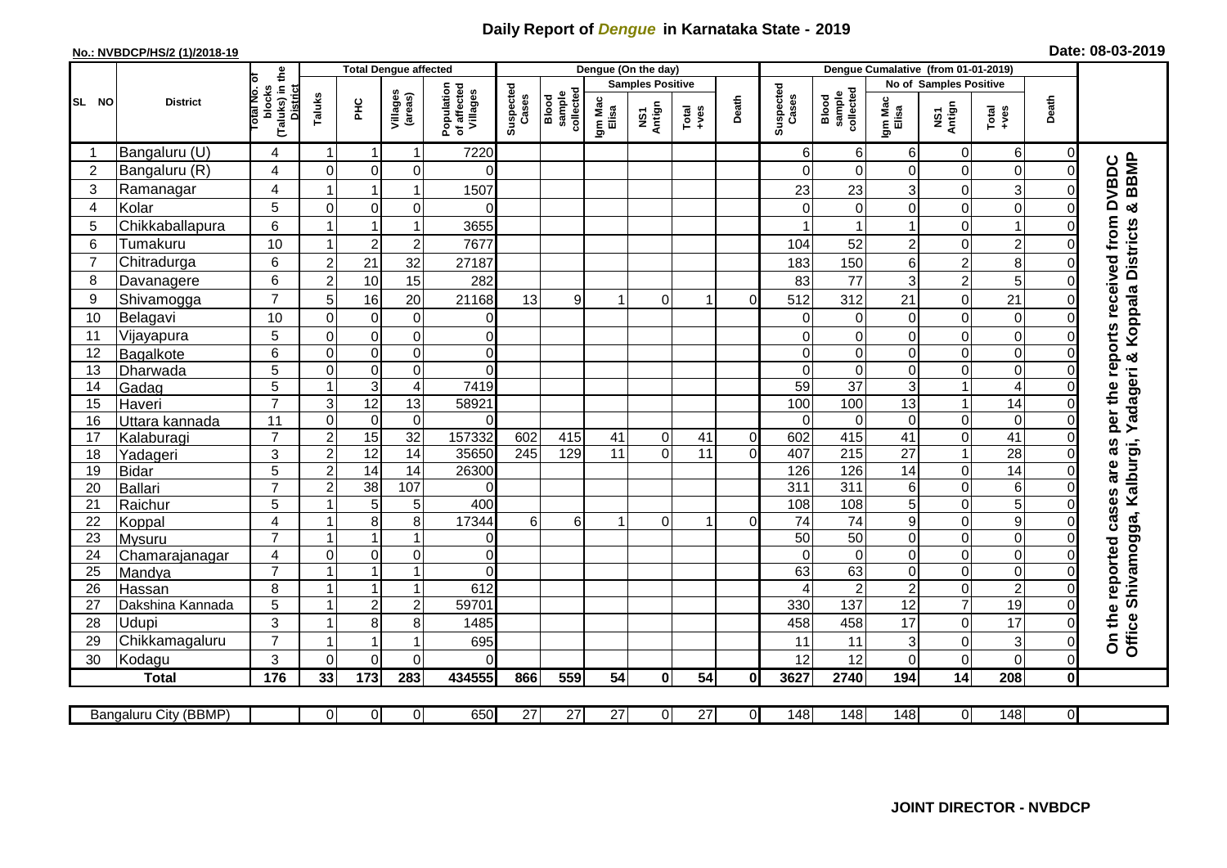## **Daily Report of** *Dengue* **in Karnataka State - 2019**

## **No.: NVBDCP/HS/2 (1)/2018-19 Date: 08-03-2019**

|                |                         |                                                       | <b>Total Dengue affected</b> |                                                    |                         |                                       |     |                                                    |                         | Dengue (On the day) |                 |                |                    |                                     |                        |                                 |                                 |                |                                                               |
|----------------|-------------------------|-------------------------------------------------------|------------------------------|----------------------------------------------------|-------------------------|---------------------------------------|-----|----------------------------------------------------|-------------------------|---------------------|-----------------|----------------|--------------------|-------------------------------------|------------------------|---------------------------------|---------------------------------|----------------|---------------------------------------------------------------|
|                | <b>District</b>         |                                                       |                              |                                                    |                         | Population<br>of affected<br>Villages |     | Suspected<br>sample<br>collected<br>Cases<br>Blood | <b>Samples Positive</b> |                     |                 |                |                    |                                     | No of Samples Positive |                                 |                                 |                |                                                               |
| SL NO          |                         | (Taluks) in the<br>District<br>lotal No. ol<br>blocks | Taluks                       | ЭHС                                                | Villages<br>(areas)     |                                       |     |                                                    | Igm Mac<br>Elisa        | NS1<br>Antign       | $Totael$        | Death          | Suspected<br>Cases | collected<br><b>Blood</b><br>sample | Igm Mac<br>Elisa       | NS1<br>Antign                   | Total<br>+ves                   | Death          |                                                               |
| -1             | Bangaluru (U)           | 4                                                     | $\mathbf 1$                  | $\mathbf 1$                                        | 1                       | 7220                                  |     |                                                    |                         |                     |                 |                | 6                  | 6                                   | 6                      | 0                               | 6                               | $\mathbf 0$    |                                                               |
| $\overline{2}$ | Bangaluru (R)           | 4                                                     | $\Omega$                     | $\mathbf 0$                                        | $\mathbf 0$             | $\Omega$                              |     |                                                    |                         |                     |                 |                | ∩                  | $\Omega$                            | 0                      | $\mathbf 0$                     | $\mathbf 0$                     | $\Omega$       | BBMP<br><b>DVBDC</b>                                          |
| 3              | Ramanagar               | 4                                                     |                              | 1                                                  | 1                       | 1507                                  |     |                                                    |                         |                     |                 |                | 23                 | 23                                  | 3                      | $\mathbf 0$                     | $\mathsf 3$                     | 0              |                                                               |
| 4              | Kolar                   | 5                                                     | $\mathbf 0$                  | $\mathbf 0$                                        | 0                       | $\Omega$                              |     |                                                    |                         |                     |                 |                |                    | 0                                   | 0                      | $\mathbf 0$                     | $\mathbf 0$                     | 0              | න්                                                            |
| 5              | Chikkaballapura         | 6                                                     | $\overline{1}$               | $\overline{1}$                                     | 1                       | 3655                                  |     |                                                    |                         |                     |                 |                |                    |                                     | $\mathbf{1}$           | $\boldsymbol{0}$                | $\overline{1}$                  | 0              | per the reports received from<br>Yadageri & Koppala Districts |
| 6              | Tumakuru                | 10                                                    |                              | $\overline{2}$                                     | $\mathbf 2$             | 7677                                  |     |                                                    |                         |                     |                 |                | 104                | 52                                  | $\overline{c}$         | $\mathbf 0$                     | $\overline{2}$                  | 0              |                                                               |
| 7              | Chitradurga             | 6                                                     | $\overline{c}$               | 21                                                 | 32                      | 27187                                 |     |                                                    |                         |                     |                 |                | 183                | 150                                 | 6                      | $\overline{a}$                  | 8                               | 0              |                                                               |
| 8              | Davanagere              | 6                                                     | $\overline{2}$               | 10                                                 | 15                      | 282                                   |     |                                                    |                         |                     |                 |                | 83                 | 77                                  | 3                      | $\overline{2}$                  | 5                               | $\Omega$       |                                                               |
| 9              | Shivamogga              | $\overline{7}$                                        | 5                            | 16                                                 | 20                      | 21168                                 | 13  | $\overline{9}$                                     |                         | $\Omega$            |                 | 0              | 512                | 312                                 | 21                     | $\overline{0}$                  | 21                              | O              |                                                               |
| 10             | Belagavi                | 10                                                    | $\mathbf 0$                  | $\mathbf 0$                                        | 0                       | 0                                     |     |                                                    |                         |                     |                 |                | $\Omega$           | 0                                   | 0                      | $\mathbf 0$                     | $\mathbf 0$                     | O              |                                                               |
| 11             | Vijayapura              | 5                                                     | $\mathbf 0$                  | $\mathbf 0$                                        | $\mathbf 0$             | 0                                     |     |                                                    |                         |                     |                 |                |                    | $\Omega$                            | 0                      | $\mathbf 0$                     | $\mathbf 0$                     | O              |                                                               |
| 12             | Bagalkote               | 6                                                     | $\mathbf 0$                  | $\mathbf 0$                                        | $\overline{0}$          | $\overline{0}$                        |     |                                                    |                         |                     |                 |                | $\Omega$           | $\mathbf 0$                         | 0                      | $\mathbf 0$                     | $\overline{0}$                  | $\Omega$       |                                                               |
| 13             | Dharwada                | 5                                                     | $\mathbf 0$                  | $\mathsf{O}\xspace$                                | $\mathbf 0$             | $\Omega$                              |     |                                                    |                         |                     |                 |                | $\Omega$           | $\mathbf 0$                         | 0                      | $\mathbf 0$                     | $\mathbf 0$                     | 0              |                                                               |
| 14             | Gadag                   | $\overline{5}$                                        | $\overline{1}$               | $\overline{3}$                                     | $\overline{\mathbf{4}}$ | 7419                                  |     |                                                    |                         |                     |                 |                | 59                 | $\overline{37}$                     | $\overline{3}$         | $\mathbf{1}$                    | $\overline{4}$                  | $\Omega$       |                                                               |
| 15             | Haveri                  | $\overline{7}$                                        | 3                            | 12                                                 | 13                      | 58921                                 |     |                                                    |                         |                     |                 |                | 100                | 100                                 | 13                     | $\mathbf{1}$                    | 14                              | 0              |                                                               |
| 16             | Uttara kannada          | 11                                                    | $\mathbf 0$                  | $\pmb{0}$                                          | 0                       | $\Omega$                              |     |                                                    |                         |                     |                 |                | $\Omega$           | $\Omega$                            | $\Omega$               | $\mathbf 0$                     | $\mathbf 0$                     | 0              |                                                               |
| 17             | Kalaburagi              | $\overline{7}$                                        | $\overline{2}$               | 15                                                 | 32                      | 157332                                | 602 | 415                                                | 41                      | $\Omega$            | 41              | $\overline{0}$ | 602                | 415                                 | 41                     | $\overline{0}$                  | $\overline{41}$                 | 0              | as                                                            |
| 18             | Yadageri                | 3                                                     | $\overline{2}$               | 12                                                 | 14                      | 35650                                 | 245 | 129                                                | 11                      | $\Omega$            | 11              | $\Omega$       | 407                | 215                                 | 27                     | $\mathbf{1}$                    | 28                              | 0              |                                                               |
| 19             | <b>Bidar</b>            | 5                                                     | $\overline{c}$               | $\overline{14}$                                    | $\overline{14}$         | 26300                                 |     |                                                    |                         |                     |                 |                | 126                | 126                                 | 14                     | $\boldsymbol{0}$                | $\overline{14}$                 | $\Omega$       | are                                                           |
| 20             | <b>Ballari</b>          | $\overline{7}$                                        | $\overline{2}$               | $\overline{38}$                                    | 107                     | $\Omega$                              |     |                                                    |                         |                     |                 |                | 311                | $\overline{311}$                    | 6                      | $\mathbf 0$                     | 6                               | 0              |                                                               |
| 21             | Raichur                 | 5                                                     |                              | 5                                                  | 5                       | 400                                   |     |                                                    |                         |                     |                 |                | 108                | 108                                 | 5                      | $\boldsymbol{0}$                | $\overline{5}$                  | $\Omega$       |                                                               |
| 22             | Koppal                  | $\overline{4}$                                        | -1                           | 8                                                  | 8                       | 17344                                 | 6   | 6 <sup>1</sup>                                     | -1                      | $\Omega$            | -1              | 0              | $\overline{74}$    | $\overline{74}$                     | $\overline{9}$         | $\mathbf 0$                     | $\overline{9}$                  | O              |                                                               |
| 23             | Mysuru                  | $\overline{7}$                                        |                              |                                                    | 1                       | $\overline{0}$                        |     |                                                    |                         |                     |                 |                | $\overline{50}$    | $\overline{50}$                     | 0                      | $\mathbf 0$                     | $\mathbf 0$                     | $\Omega$       |                                                               |
| 24             | Chamarajanagar          | 4                                                     | $\mathbf 0$                  | $\mathsf{O}\xspace$                                | 0                       | $\overline{0}$                        |     |                                                    |                         |                     |                 |                | $\Omega$           | $\mathbf 0$                         | 0                      | $\boldsymbol{0}$                | $\boldsymbol{0}$                | $\Omega$       |                                                               |
| 25             | Mandya                  | $\overline{7}$                                        | $\overline{\mathbf{A}}$      | $\overline{\mathbf{1}}$<br>$\overline{\mathbf{1}}$ | $\mathbf{1}$            | $\Omega$                              |     |                                                    |                         |                     |                 |                | 63                 | 63                                  | 0                      | $\mathbf 0$                     | $\mathbf 0$                     | 0              |                                                               |
| 26             | Hassan                  | 8                                                     | -1                           |                                                    | 1                       | 612                                   |     |                                                    |                         |                     |                 |                |                    | $\overline{2}$                      | $\overline{2}$         | $\mathbf 0$                     | $\overline{2}$                  | $\Omega$       |                                                               |
| 27             | Dakshina Kannada        | 5<br>3                                                |                              | $\overline{2}$                                     | $\mathbf 2$             | 59701                                 |     |                                                    |                         |                     |                 |                | 330                | 137                                 | 12                     | $\overline{7}$                  | $\overline{19}$                 | 0              |                                                               |
| 28<br>29       | Udupi<br>Chikkamagaluru | $\overline{7}$                                        |                              | 8                                                  | 8<br>1                  | 1485<br>695                           |     |                                                    |                         |                     |                 |                | 458<br>11          | 458<br>11                           | 17<br>3                | $\mathbf 0$<br>$\boldsymbol{0}$ | 17<br>$\ensuremath{\mathsf{3}}$ | 0<br>0         | Office Shivamogga, Kalburgi,<br>On the reported cases         |
| 30             |                         | 3                                                     | $\Omega$                     | $\Omega$                                           | $\Omega$                | $\Omega$                              |     |                                                    |                         |                     |                 |                | 12                 | 12                                  | 0                      | $\mathbf 0$                     | $\overline{0}$                  | $\overline{0}$ |                                                               |
|                | Kodagu<br><b>Total</b>  | 176                                                   | 33                           | 173                                                | 283                     | 434555                                | 866 | 559                                                | 54                      | $\bf{0}$            | 54              | 0I             | 3627               | 2740                                | 194                    | 14                              | 208                             | $\mathbf{0}$   |                                                               |
|                |                         |                                                       |                              |                                                    |                         |                                       |     |                                                    |                         |                     |                 |                |                    |                                     |                        |                                 |                                 |                |                                                               |
|                | Bangaluru City (BBMP)   |                                                       | $\overline{0}$               | $\overline{0}$                                     | $\overline{0}$          | 650                                   | 27  | $\overline{27}$                                    | $\overline{27}$         | $\Omega$            | $\overline{27}$ | $\overline{0}$ | 148                | 148                                 | 148                    | $\overline{0}$                  | 148                             | $\overline{0}$ |                                                               |